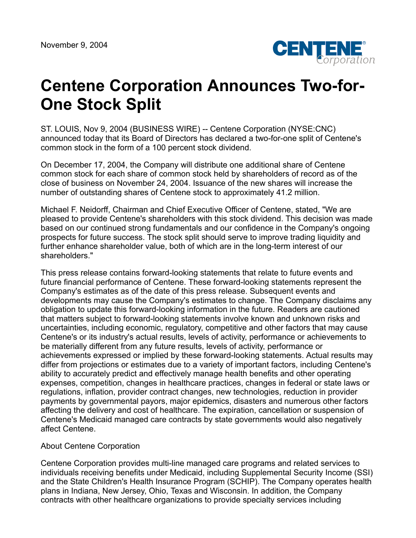

## **Centene Corporation Announces Two-for-One Stock Split**

ST. LOUIS, Nov 9, 2004 (BUSINESS WIRE) -- Centene Corporation (NYSE:CNC) announced today that its Board of Directors has declared a two-for-one split of Centene's common stock in the form of a 100 percent stock dividend.

On December 17, 2004, the Company will distribute one additional share of Centene common stock for each share of common stock held by shareholders of record as of the close of business on November 24, 2004. Issuance of the new shares will increase the number of outstanding shares of Centene stock to approximately 41.2 million.

Michael F. Neidorff, Chairman and Chief Executive Officer of Centene, stated, "We are pleased to provide Centene's shareholders with this stock dividend. This decision was made based on our continued strong fundamentals and our confidence in the Company's ongoing prospects for future success. The stock split should serve to improve trading liquidity and further enhance shareholder value, both of which are in the long-term interest of our shareholders."

This press release contains forward-looking statements that relate to future events and future financial performance of Centene. These forward-looking statements represent the Company's estimates as of the date of this press release. Subsequent events and developments may cause the Company's estimates to change. The Company disclaims any obligation to update this forward-looking information in the future. Readers are cautioned that matters subject to forward-looking statements involve known and unknown risks and uncertainties, including economic, regulatory, competitive and other factors that may cause Centene's or its industry's actual results, levels of activity, performance or achievements to be materially different from any future results, levels of activity, performance or achievements expressed or implied by these forward-looking statements. Actual results may differ from projections or estimates due to a variety of important factors, including Centene's ability to accurately predict and effectively manage health benefits and other operating expenses, competition, changes in healthcare practices, changes in federal or state laws or regulations, inflation, provider contract changes, new technologies, reduction in provider payments by governmental payors, major epidemics, disasters and numerous other factors affecting the delivery and cost of healthcare. The expiration, cancellation or suspension of Centene's Medicaid managed care contracts by state governments would also negatively affect Centene.

## About Centene Corporation

Centene Corporation provides multi-line managed care programs and related services to individuals receiving benefits under Medicaid, including Supplemental Security Income (SSI) and the State Children's Health Insurance Program (SCHIP). The Company operates health plans in Indiana, New Jersey, Ohio, Texas and Wisconsin. In addition, the Company contracts with other healthcare organizations to provide specialty services including